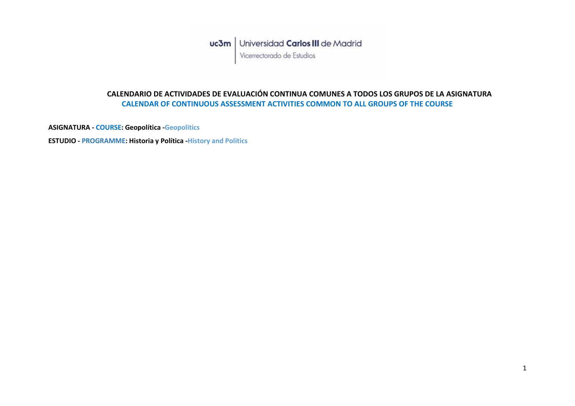## **CALENDARIO DE ACTIVIDADES DE EVALUACIÓN CONTINUA COMUNES A TODOS LOS GRUPOS DE LA ASIGNATURA CALENDAR OF CONTINUOUS ASSESSMENT ACTIVITIES COMMON TO ALL GROUPS OF THE COURSE**

**ASIGNATURA - COURSE: Geopolítica -Geopolitics**

**ESTUDIO - PROGRAMME: Historia y Política -History and Politics**